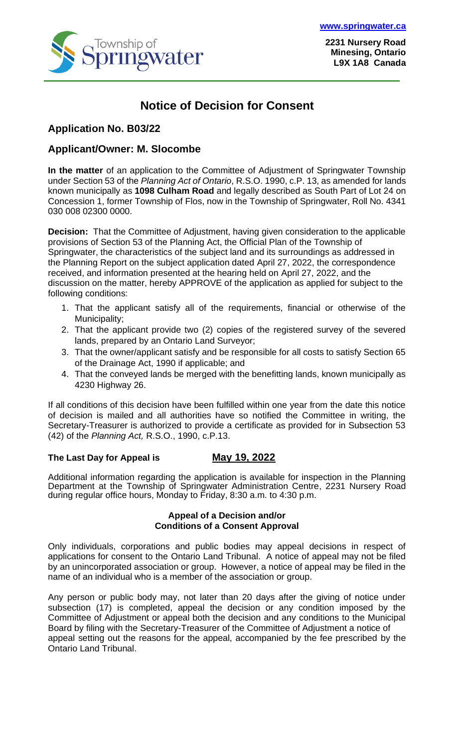

**2231 Nursery Road Minesing, Ontario L9X 1A8 Canada**

## **Notice of Decision for Consent**

### **Application No. B03/22**

### **Applicant/Owner: M. Slocombe**

**In the matter** of an application to the Committee of Adjustment of Springwater Township under Section 53 of the *Planning Act of Ontario*, R.S.O. 1990, c.P. 13, as amended for lands known municipally as **1098 Culham Road** and legally described as South Part of Lot 24 on Concession 1, former Township of Flos, now in the Township of Springwater, Roll No. 4341 030 008 02300 0000.

**Decision:** That the Committee of Adjustment, having given consideration to the applicable provisions of Section 53 of the Planning Act, the Official Plan of the Township of Springwater, the characteristics of the subject land and its surroundings as addressed in the Planning Report on the subject application dated April 27, 2022, the correspondence received, and information presented at the hearing held on April 27, 2022, and the discussion on the matter, hereby APPROVE of the application as applied for subject to the following conditions:

- 1. That the applicant satisfy all of the requirements, financial or otherwise of the Municipality;
- 2. That the applicant provide two (2) copies of the registered survey of the severed lands, prepared by an Ontario Land Surveyor;
- 3. That the owner/applicant satisfy and be responsible for all costs to satisfy Section 65 of the Drainage Act, 1990 if applicable; and
- 4. That the conveyed lands be merged with the benefitting lands, known municipally as 4230 Highway 26.

If all conditions of this decision have been fulfilled within one year from the date this notice of decision is mailed and all authorities have so notified the Committee in writing, the Secretary-Treasurer is authorized to provide a certificate as provided for in Subsection 53 (42) of the *Planning Act,* R.S.O., 1990, c.P.13.

#### **The Last Day for Appeal is May 19, 2022**

Additional information regarding the application is available for inspection in the Planning Department at the Township of Springwater Administration Centre, 2231 Nursery Road during regular office hours, Monday to Friday, 8:30 a.m. to 4:30 p.m.

#### **Appeal of a Decision and/or Conditions of a Consent Approval**

Only individuals, corporations and public bodies may appeal decisions in respect of applications for consent to the Ontario Land Tribunal. A notice of appeal may not be filed by an unincorporated association or group. However, a notice of appeal may be filed in the name of an individual who is a member of the association or group.

Any person or public body may, not later than 20 days after the giving of notice under subsection (17) is completed, appeal the decision or any condition imposed by the Committee of Adjustment or appeal both the decision and any conditions to the Municipal Board by filing with the Secretary-Treasurer of the Committee of Adjustment a notice of appeal setting out the reasons for the appeal, accompanied by the fee prescribed by the Ontario Land Tribunal.